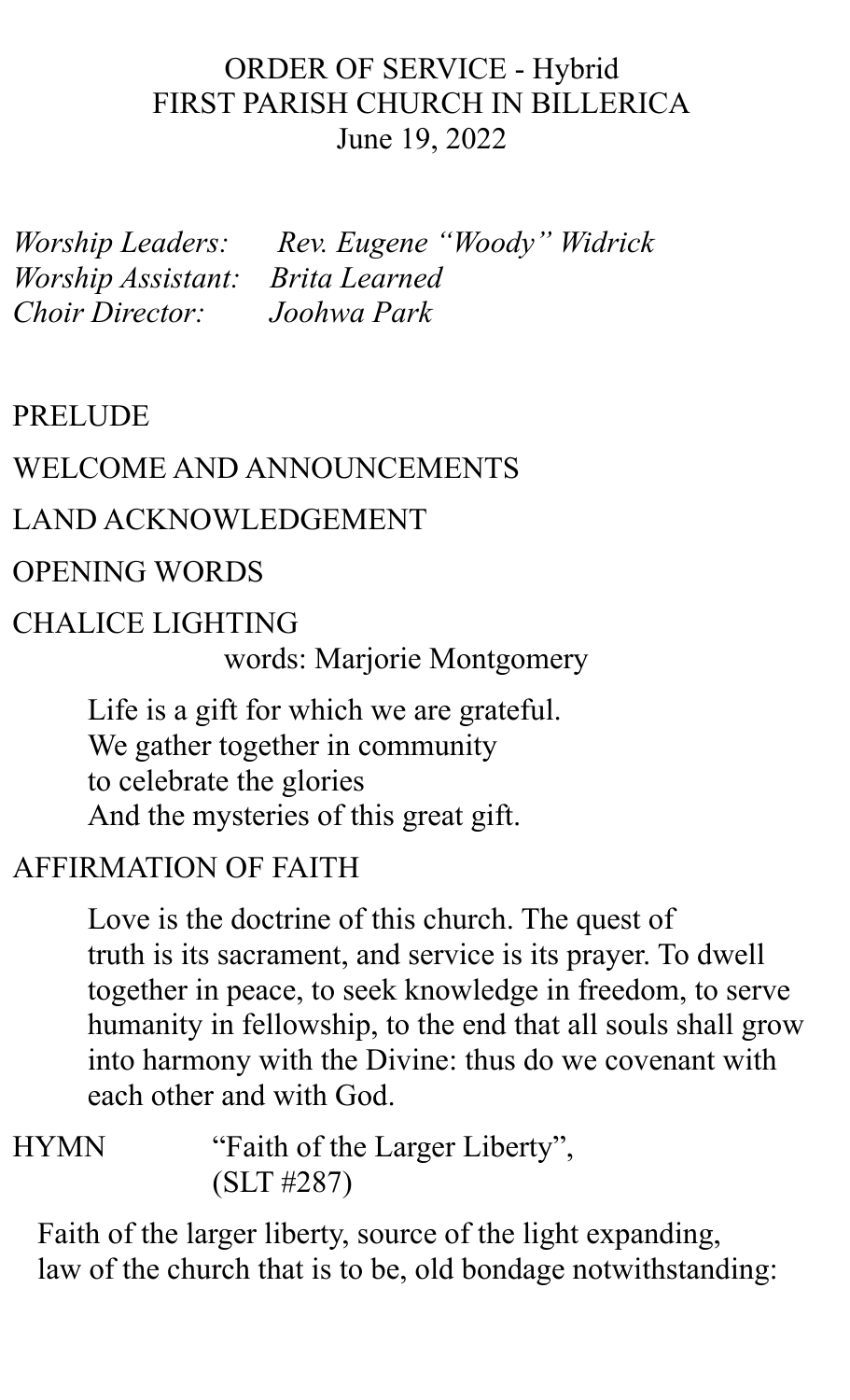### ORDER OF SERVICE - Hybrid FIRST PARISH CHURCH IN BILLERICA June 19, 2022

*Worship Leaders: Worship Assistant: Brita Learned Choir Director: Joohwa Park*

*"Woody " Widrick*

### PRELUDE

#### WELCOME AND ANNOUNCEMENTS

#### LAND ACKNOWLEDGEMENT

#### OPENING WORDS

### CHALICE LIGHTING words: Marjorie Montgomery

Life is a gift for which we are grateful. We gather together in community to celebrate the glories And the mysteries of this great gift.

### AFFIRMATION OF FAITH

Love is the doctrine of this church. The quest of truth is its sacrament, and service is its prayer. To dwell together in peace, to seek knowledge in freedom, to serve humanity in fellowship, to the end that all souls shall grow into harmony with the Divine: thus do we covenant with each other and with God.

HYMN "Faith of the Larger Liberty" , (SLT #287)

Faith of the larger liberty, source of the light expanding, law of the church that is to be, old bondage notwithstanding: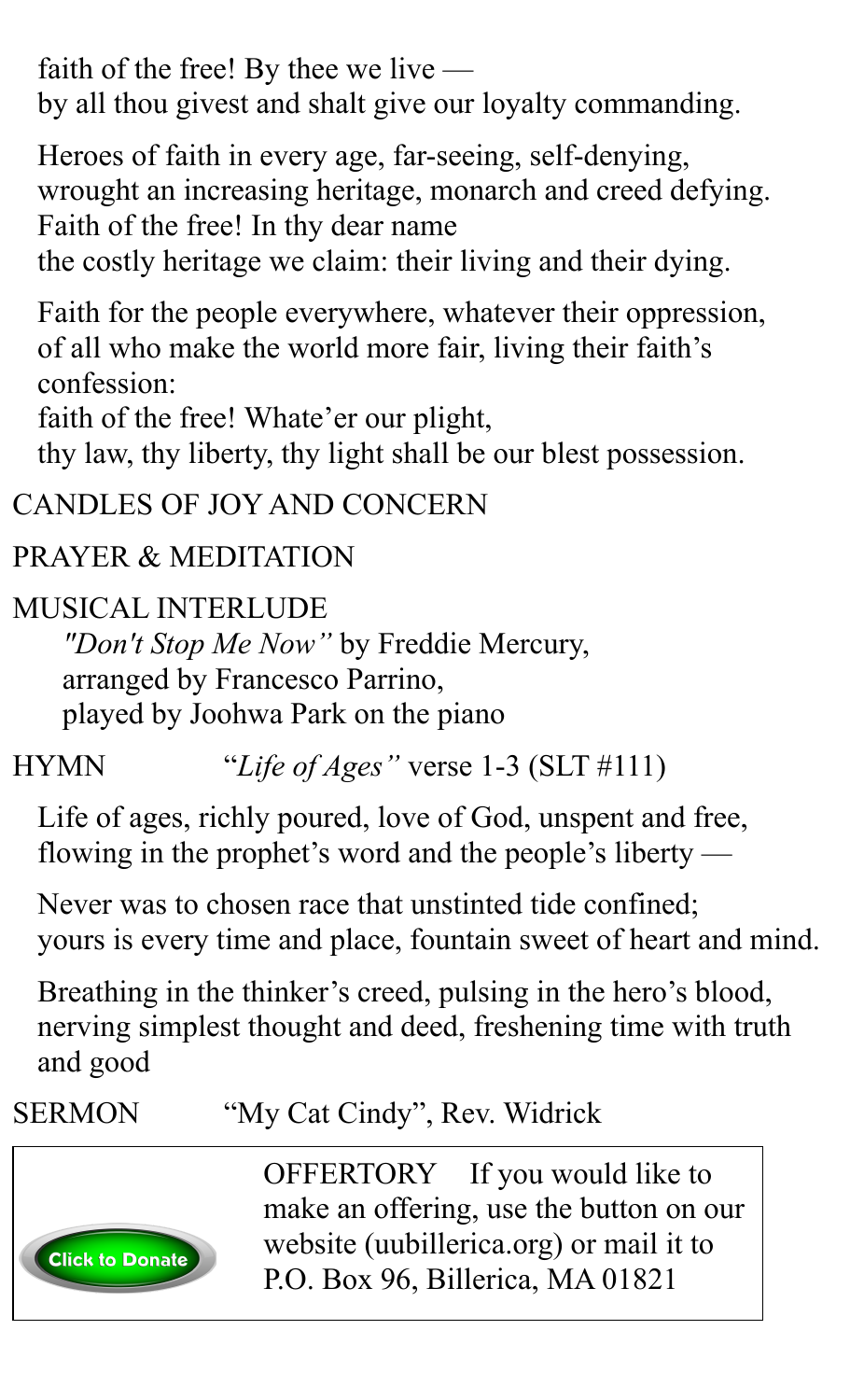faith of the free! By thee we live by all thou givest and shalt give our loyalty commanding.

Heroes of faith in every age, far-seeing, self-denying, wrought an increasing heritage, monarch and creed defying. Faith of the free! In thy dear name

the costly heritage we claim: their living and their dying.

Faith for the people everywhere, whatever their oppression, of all who make the world more fair, living their faith's confession:

faith of the free! Whate'er our plight,

thy law, thy liberty, thy light shall be our blest possession.

### CANDLES OF JOY AND CONCERN

## PRAYER & MEDITATION

## MUSICAL INTERLUDE

*"Don't Stop Me Now "* by Freddie Mercury, arranged by Francesco Parrino, played by Joohwa Park on the piano

HYMN "*Life of Ages "* verse 1-3 (SLT #111)

Life of ages, richly poured, love of God, unspent and free, flowing in the prophet's word and the people's liberty —

Never was to chosen race that unstinted tide confined; yours is every time and place, fountain sweet of heart and mind.

Breathing in the thinker's creed, pulsing in the hero's blood, nerving simplest thought and deed, freshening time with truth and good

## SERMON "My Cat Cindy", Rev. Widrick



OFFERTORY If you would like to make an offering, use the button on our website (uubillerica.org) or mail it to P.O. Box 96, Billerica, MA 01821